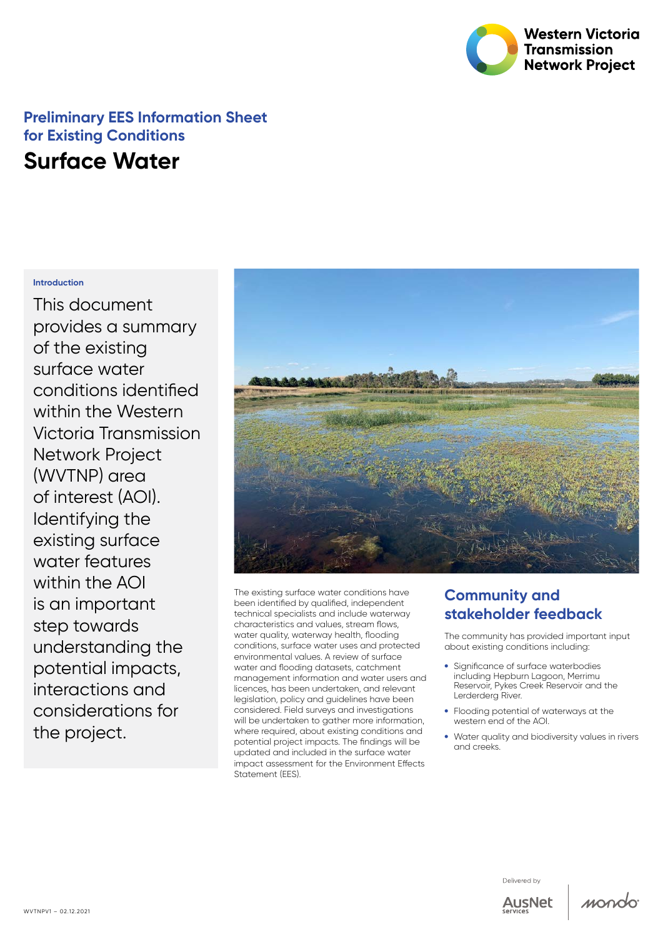

## **Preliminary EES Information Sheet for Existing Conditions Surface Water**

#### **Introduction**

This document provides a summary of the existing surface water conditions identified within the Western Victoria Transmission Network Project (WVTNP) area of interest (AOI). Identifying the existing surface water features within the AOI is an important step towards understanding the potential impacts, interactions and considerations for the project.



The existing surface water conditions have been identified by qualified, independent technical specialists and include waterway characteristics and values, stream flows, water quality, waterway health, flooding conditions, surface water uses and protected environmental values. A review of surface water and flooding datasets, catchment management information and water users and licences, has been undertaken, and relevant legislation, policy and guidelines have been considered. Field surveys and investigations will be undertaken to gather more information, where required, about existing conditions and potential project impacts. The findings will be updated and included in the surface water impact assessment for the Environment Effects Statement (FFS).

### **Community and stakeholder feedback**

The community has provided important input about existing conditions including:

- Significance of surface waterbodies including Hepburn Lagoon, Merrimu Reservoir, Pykes Creek Reservoir and the Lerderderg River.
- Flooding potential of waterways at the western end of the AOI.
- Water quality and biodiversity values in rivers and creeks.





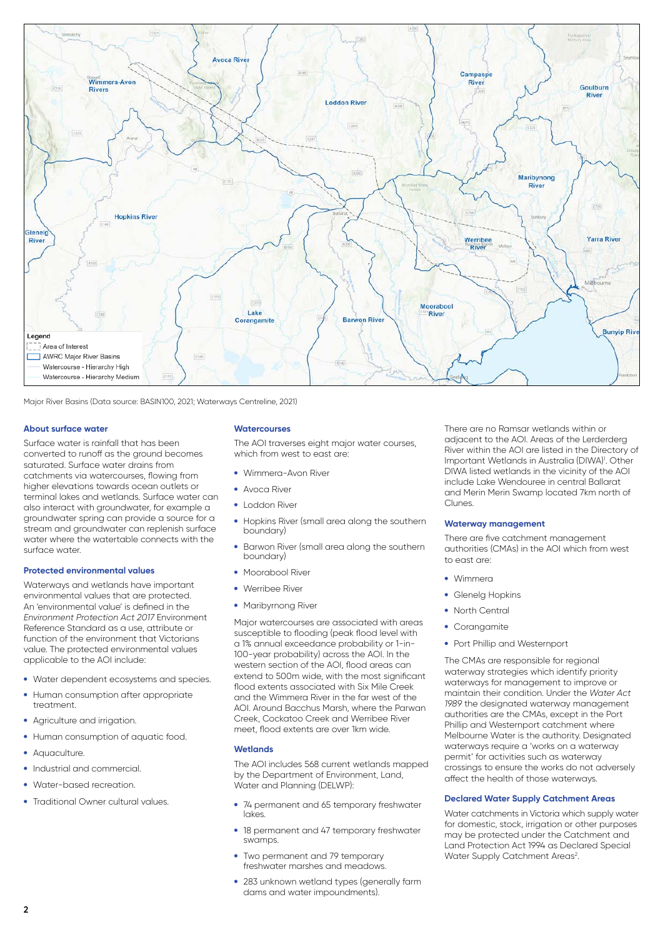

Major River Basins (Data source: BASIN100, 2021; Waterways Centreline, 2021)

#### **About surface water**

Surface water is rainfall that has been converted to runoff as the ground becomes saturated. Surface water drains from catchments via watercourses, flowing from higher elevations towards ocean outlets or terminal lakes and wetlands. Surface water can also interact with groundwater, for example a groundwater spring can provide a source for a stream and groundwater can replenish surface water where the watertable connects with the surface water.

#### **Protected environmental values**

Waterways and wetlands have important environmental values that are protected. An 'environmental value' is defined in the *Environment Protection Act 2017* Environment Reference Standard as a use, attribute or function of the environment that Victorians value. The protected environmental values applicable to the AOI include:

- Water dependent ecosystems and species.
- Human consumption after appropriate treatment
- Agriculture and irrigation.
- Human consumption of aquatic food.
- Aquaculture.
- Industrial and commercial.
- Water-based recreation.
- Traditional Owner cultural values.

#### **Watercourses**

The AOI traverses eight major water courses, which from west to east are:

- • Wimmera-Avon River
- • Avoca River
- • Loddon River
- Hopkins River (small area alona the southern boundary)
- Barwon River (small area along the southern boundary)
- Moorabool River
- • Werribee River
- Maribyrnong River

Major watercourses are associated with areas susceptible to flooding (peak flood level with a 1% annual exceedance probability or 1-in-100-year probability) across the AOI. In the western section of the AOI, flood areas can extend to 500m wide, with the most significant flood extents associated with Six Mile Creek and the Wimmera River in the far west of the AOI. Around Bacchus Marsh, where the Parwan Creek, Cockatoo Creek and Werribee River meet, flood extents are over 1km wide.

#### **Wetlands**

The AOI includes 568 current wetlands mapped by the Department of Environment, Land, Water and Planning (DELWP):

- 74 permanent and 65 temporary freshwater lakes.
- 18 permanent and 47 temporary freshwater swamps.
- Two permanent and 79 temporary freshwater marshes and meadows.
- 283 unknown wetland types (generally farm dams and water impoundments).

There are no Ramsar wetlands within or adjacent to the AOI. Areas of the Lerderderg River within the AOI are listed in the Directory of Important Wetlands in Australia (DIWA)<sup>1</sup>. Other DIWA listed wetlands in the vicinity of the AOI include Lake Wendouree in central Ballarat and Merin Merin Swamp located 7km north of Clunes.

#### **Waterway management**

There are five catchment management authorities (CMAs) in the AOI which from west to east are:

- • Wimmera
- Glenelg Hopkins
- North Central
- Corangamite
- Port Phillip and Westernport

The CMAs are responsible for regional waterway strategies which identify priority waterways for management to improve or maintain their condition. Under the *Water Act 1989* the designated waterway management authorities are the CMAs, except in the Port Phillip and Westernport catchment where Melbourne Water is the authority. Designated waterways require a 'works on a waterway permit' for activities such as waterway crossings to ensure the works do not adversely affect the health of those waterways.

#### **Declared Water Supply Catchment Areas**

Water catchments in Victoria which supply water for domestic, stock, irrigation or other purposes may be protected under the Catchment and Land Protection Act 1994 as Declared Special Water Supply Catchment Areas<sup>2</sup>.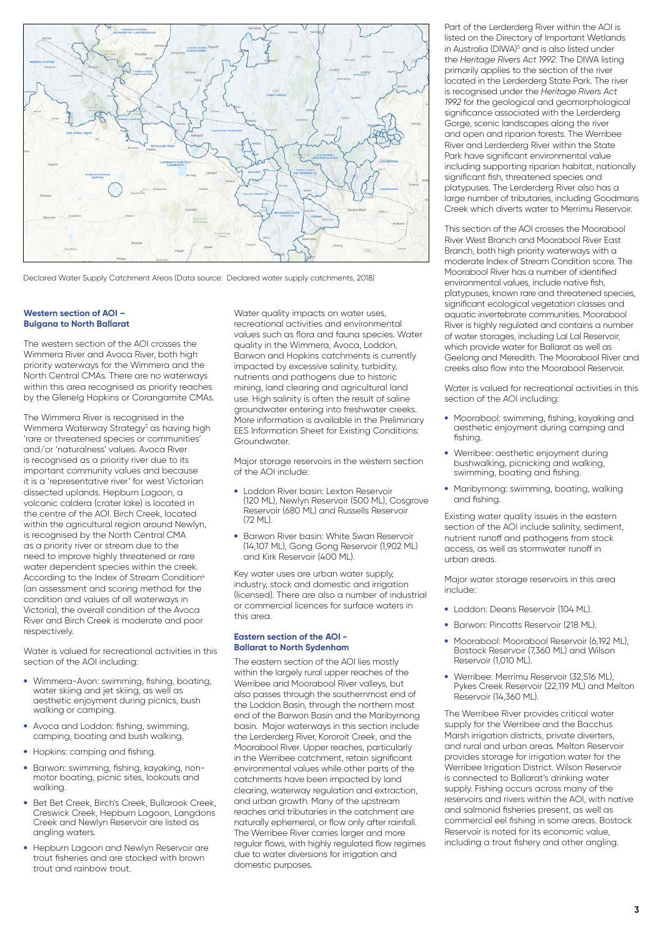

Declared Water Supply Catchment Areas (Data source: Declared water supply catchments, 2018)

#### **Western section of AOI – Bulgana to North Ballarat**

The western section of the AOI crosses the Wimmera River and Avoca River, both high priority waterways for the Wimmera and the North Central CMAs. There are no waterways within this area recognised as priority reaches by the Glenelg Hopkins or Corangamite CMAs.

The Wimmera River is recognised in the Wimmera Waterway Strategy<sup>3</sup> as having high 'rare or threatened species or communities' and/or 'naturalness' values. Avoca River is recognised as a priority river due to its important community values and because it is a 'representative river' for west Victorian dissected uplands. Hepburn Lagoon, a volcanic caldera (crater lake) is located in the centre of the AOI. Birch Creek, located within the agricultural region around Newlyn, is recognised by the North Central CMA as a priority river or stream due to the need to improve highly threatened or rare water dependent species within the creek. According to the Index of Stream Condition4 (an assessment and scoring method for the condition and values of all waterways in Victoria), the overall condition of the Avoca River and Birch Creek is moderate and poor respectively.

Water is valued for recreational activities in this section of the AOI including:

- Wimmera-Avon: swimming, fishing, boating, water skiing and jet skiing, as well as aesthetic enjoyment during picnics, bush walking or camping.
- Avoca and Loddon: fishing, swimming, camping, boating and bush walking.
- Hopkins: camping and fishing.
- Barwon: swimming, fishing, kayaking, nonmotor boating, picnic sites, lookouts and walking.
- Bet Bet Creek, Birch's Creek, Bullarook Creek, Creswick Creek, Hepburn Lagoon, Langdons Creek and Newlyn Reservoir are listed as angling waters.
- Hepburn Lagoon and Newlyn Reservoir are trout fisheries and are stocked with brown trout and rainbow trout.

Water quality impacts on water uses. recreational activities and environmental values such as flora and fauna species. Water quality in the Wimmera, Avoca, Loddon, Barwon and Hopkins catchments is currently impacted by excessive salinity, turbidity, nutrients and pathogens due to historic mining, land clearing and agricultural land use. High salinity is often the result of saline groundwater entering into freshwater creeks. More information is available in the Preliminary EES Information Sheet for Existing Conditions: Groundwater.

Major storage reservoirs in the western section of the AOI include:

- • Loddon River basin: Lexton Reservoir (120 ML), Newlyn Reservoir (500 ML), Cosgrove Reservoir (680 ML) and Russells Reservoir  $(72 \, M1)$
- Barwon River basin: White Swan Reservoir (14,107 ML), Gong Gong Reservoir (1,902 ML) and Kirk Reservoir (400 ML).

Key water uses are urban water supply, industry, stock and domestic and irrigation (licensed). There are also a number of industrial or commercial licences for surface waters in this area.

#### **Eastern section of the AOI - Ballarat to North Sydenham**

The eastern section of the AOI lies mostly within the largely rural upper reaches of the Werribee and Moorabool River valleys, but also passes through the southernmost end of the Loddon Basin, through the northern most end of the Barwon Basin and the Maribyrnong basin. Major waterways in this section include the Lerderderg River, Kororoit Creek, and the Moorabool River. Upper reaches, particularly in the Werribee catchment, retain significant environmental values while other parts of the catchments have been impacted by land clearing, waterway regulation and extraction, and urban growth. Many of the upstream reaches and tributaries in the catchment are naturally ephemeral, or flow only after rainfall. The Werribee River carries larger and more regular flows, with highly regulated flow regimes due to water diversions for irrigation and domestic purposes.

Part of the Lerderderg River within the AOI is listed on the Directory of Important Wetlands in Australia (DIWA)<sup>5</sup> and is also listed under the *Heritage Rivers Act 1992*. The DIWA listing primarily applies to the section of the river located in the Lerderderg State Park. The river is recognised under the *Heritage Rivers Act 1992* for the geological and geomorphological significance associated with the Lerderderg Gorge, scenic landscapes along the river and open and riparian forests. The Werribee River and Lerderderg River within the State Park have significant environmental value including supporting riparian habitat, nationally significant fish, threatened species and platypuses. The Lerderderg River also has a large number of tributaries, including Goodmans Creek which diverts water to Merrimu Reservoir.

This section of the AOI crosses the Moorabool River West Branch and Moorabool River East Branch, both high priority waterways with a moderate Index of Stream Condition score. The Moorabool River has a number of identified environmental values, include native fish, platypuses, known rare and threatened species, significant ecological vegetation classes and aquatic invertebrate communities. Moorabool River is highly regulated and contains a number of water storages, including Lal Lal Reservoir, which provide water for Ballarat as well as Geelong and Meredith. The Moorabool River and creeks also flow into the Moorabool Reservoir.

Water is valued for recreational activities in this section of the AOI including:

- Moorabool: swimming, fishing, kayaking and aesthetic enjoyment during camping and fishing.
- Werribee: aesthetic enjoyment during bushwalking, picnicking and walking, swimming, boating and fishing.
- Maribyrnong: swimming, boating, walking and fishing.

Existing water quality issues in the eastern section of the AOI include salinity, sediment, nutrient runoff and pathogens from stock access, as well as stormwater runoff in urban areas.

Major water storage reservoirs in this area include:

- Loddon: Deans Reservoir (104 ML).
- Barwon: Pincotts Reservoir (218 ML).
- Moorabool: Moorabool Reservoir (6,192 ML), Bostock Reservoir (7,360 ML) and Wilson Reservoir (1,010 ML).
- Werribee: Merrimu Reservoir (32,516 ML), Pykes Creek Reservoir (22,119 ML) and Melton Reservoir (14,360 ML).

The Werribee River provides critical water supply for the Werribee and the Bacchus Marsh irrigation districts, private diverters, and rural and urban areas. Melton Reservoir provides storage for irrigation water for the Werribee Irrigation District. Wilson Reservoir is connected to Ballarat's drinking water supply. Fishing occurs across many of the reservoirs and rivers within the AOI, with native and salmonid fisheries present, as well as commercial eel fishing in some areas. Bostock Reservoir is noted for its economic value, including a trout fishery and other angling.